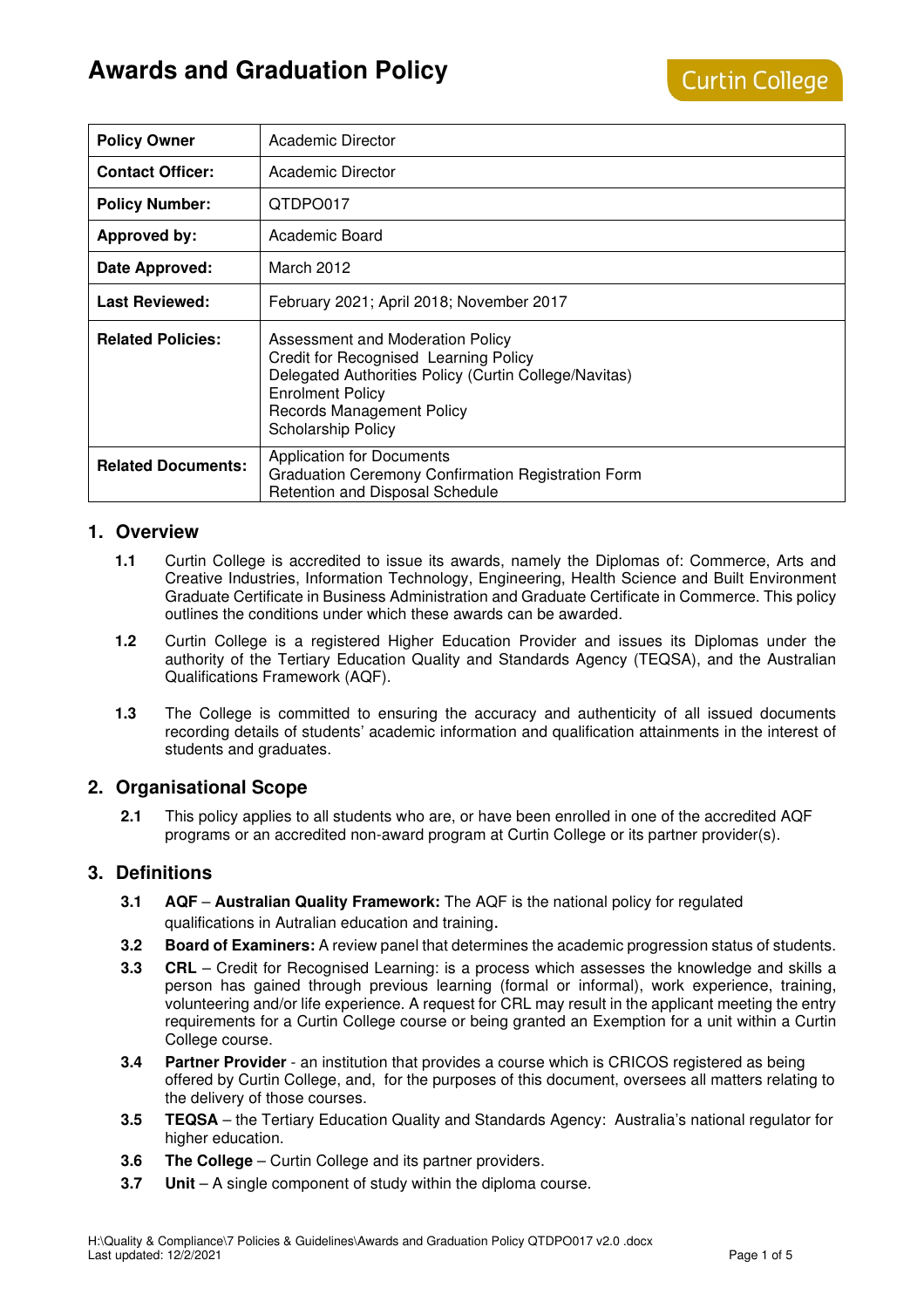# **Awards and Graduation Policy**

| <b>Policy Owner</b>       | Academic Director                                                                                                                                                                                                       |
|---------------------------|-------------------------------------------------------------------------------------------------------------------------------------------------------------------------------------------------------------------------|
| <b>Contact Officer:</b>   | Academic Director                                                                                                                                                                                                       |
| <b>Policy Number:</b>     | QTDPO017                                                                                                                                                                                                                |
| <b>Approved by:</b>       | Academic Board                                                                                                                                                                                                          |
| Date Approved:            | March 2012                                                                                                                                                                                                              |
| <b>Last Reviewed:</b>     | February 2021; April 2018; November 2017                                                                                                                                                                                |
| <b>Related Policies:</b>  | Assessment and Moderation Policy<br>Credit for Recognised Learning Policy<br>Delegated Authorities Policy (Curtin College/Navitas)<br><b>Enrolment Policy</b><br><b>Records Management Policy</b><br>Scholarship Policy |
| <b>Related Documents:</b> | <b>Application for Documents</b><br>Graduation Ceremony Confirmation Registration Form<br>Retention and Disposal Schedule                                                                                               |

# **1. Overview**

- **1.1** Curtin College is accredited to issue its awards, namely the Diplomas of: Commerce, Arts and Creative Industries, Information Technology, Engineering, Health Science and Built Environment Graduate Certificate in Business Administration and Graduate Certificate in Commerce. This policy outlines the conditions under which these awards can be awarded.
- **1.2** Curtin College is a registered Higher Education Provider and issues its Diplomas under the authority of the Tertiary Education Quality and Standards Agency (TEQSA), and the Australian Qualifications Framework (AQF).
- **1.3** The College is committed to ensuring the accuracy and authenticity of all issued documents recording details of students' academic information and qualification attainments in the interest of students and graduates.

## **2. Organisational Scope**

**2.1** This policy applies to all students who are, or have been enrolled in one of the accredited AQF programs or an accredited non-award program at Curtin College or its partner provider(s).

## **3. Definitions**

- **3.1 AQF** – **Australian Quality Framework:** The AQF is the national policy for regulated qualifications in Autralian education and training.
- **3.2 Board of Examiners:** A review panel that determines the academic progression status of students.
- **3.3 CRL** Credit for Recognised Learning: is a process which assesses the knowledge and skills a person has gained through previous learning (formal or informal), work experience, training, volunteering and/or life experience. A request for CRL may result in the applicant meeting the entry requirements for a Curtin College course or being granted an Exemption for a unit within a Curtin College course.
- **3.4 Partner Provider**  an institution that provides a course which is CRICOS registered as being offered by Curtin College, and, for the purposes of this document, oversees all matters relating to the delivery of those courses.
- **3.5 TEQSA**  the Tertiary Education Quality and Standards Agency: Australia's national regulator for higher education.
- **3.6 The College** Curtin College and its partner providers.
- **3.7 Unit** A single component of study within the diploma course.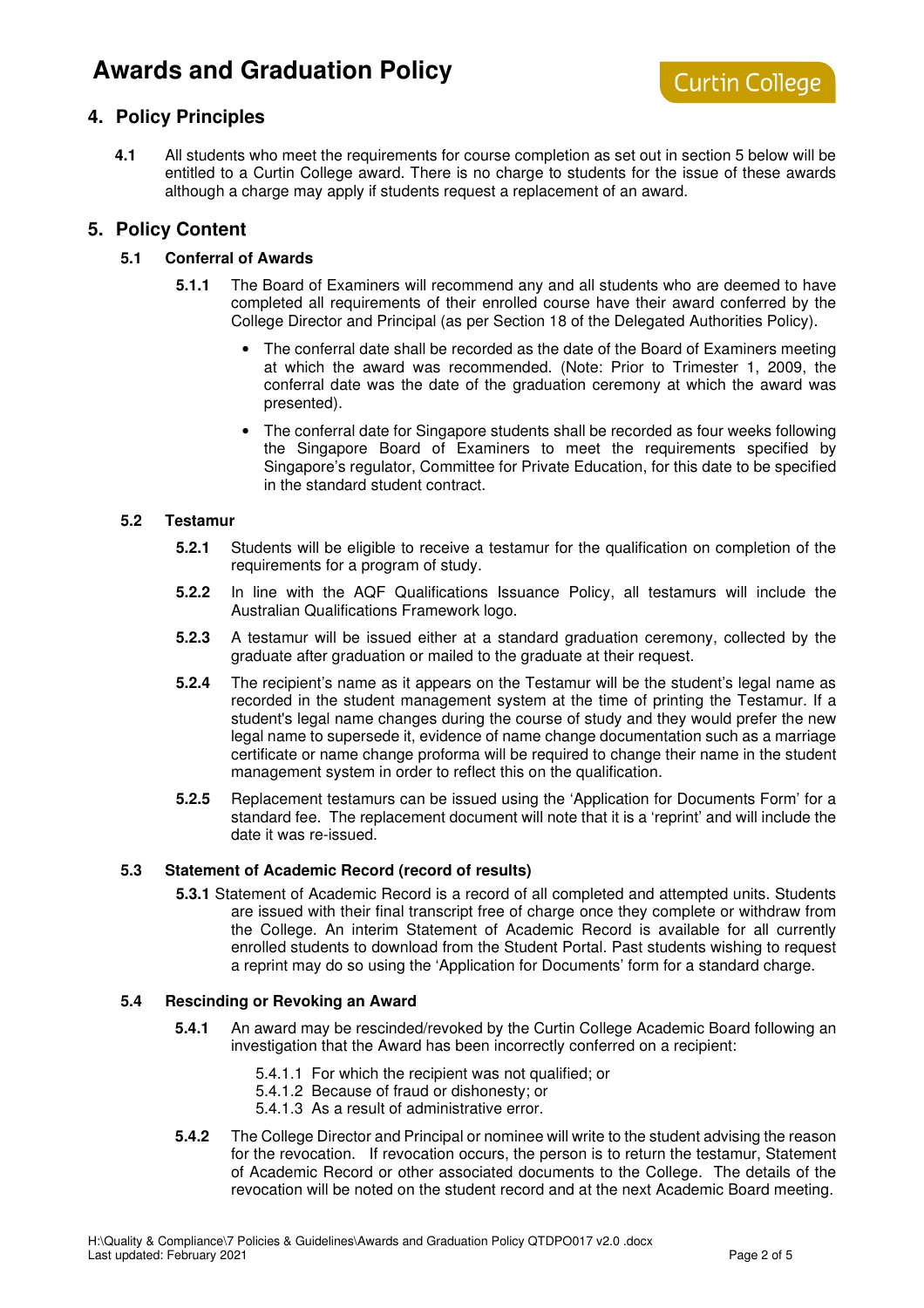# **Awards and Graduation Policy**

# **4. Policy Principles**

**4.1** All students who meet the requirements for course completion as set out in section 5 below will be entitled to a Curtin College award. There is no charge to students for the issue of these awards although a charge may apply if students request a replacement of an award.

## **5. Policy Content**

### **5.1 Conferral of Awards**

- **5.1.1** The Board of Examiners will recommend any and all students who are deemed to have completed all requirements of their enrolled course have their award conferred by the College Director and Principal (as per Section 18 of the Delegated Authorities Policy).
	- The conferral date shall be recorded as the date of the Board of Examiners meeting at which the award was recommended. (Note: Prior to Trimester 1, 2009, the conferral date was the date of the graduation ceremony at which the award was presented).
	- The conferral date for Singapore students shall be recorded as four weeks following the Singapore Board of Examiners to meet the requirements specified by Singapore's regulator, Committee for Private Education, for this date to be specified in the standard student contract.

#### **5.2 Testamur**

- **5.2.1** Students will be eligible to receive a testamur for the qualification on completion of the requirements for a program of study.
- **5.2.2** In line with the AQF Qualifications Issuance Policy, all testamurs will include the Australian Qualifications Framework logo.
- **5.2.3** A testamur will be issued either at a standard graduation ceremony, collected by the graduate after graduation or mailed to the graduate at their request.
- **5.2.4** The recipient's name as it appears on the Testamur will be the student's legal name as recorded in the student management system at the time of printing the Testamur. If a student's legal name changes during the course of study and they would prefer the new legal name to supersede it, evidence of name change documentation such as a marriage certificate or name change proforma will be required to change their name in the student management system in order to reflect this on the qualification.
- **5.2.5** Replacement testamurs can be issued using the 'Application for Documents Form' for a standard fee. The replacement document will note that it is a 'reprint' and will include the date it was re-issued.

#### **5.3 Statement of Academic Record (record of results)**

**5.3.1** Statement of Academic Record is a record of all completed and attempted units. Students are issued with their final transcript free of charge once they complete or withdraw from the College. An interim Statement of Academic Record is available for all currently enrolled students to download from the Student Portal. Past students wishing to request a reprint may do so using the 'Application for Documents' form for a standard charge.

#### **5.4 Rescinding or Revoking an Award**

- **5.4.1** An award may be rescinded/revoked by the Curtin College Academic Board following an investigation that the Award has been incorrectly conferred on a recipient:
	- 5.4.1.1 For which the recipient was not qualified; or
	- 5.4.1.2 Because of fraud or dishonesty; or
	- 5.4.1.3 As a result of administrative error.
- **5.4.2** The College Director and Principal or nominee will write to the student advising the reason for the revocation. If revocation occurs, the person is to return the testamur, Statement of Academic Record or other associated documents to the College. The details of the revocation will be noted on the student record and at the next Academic Board meeting.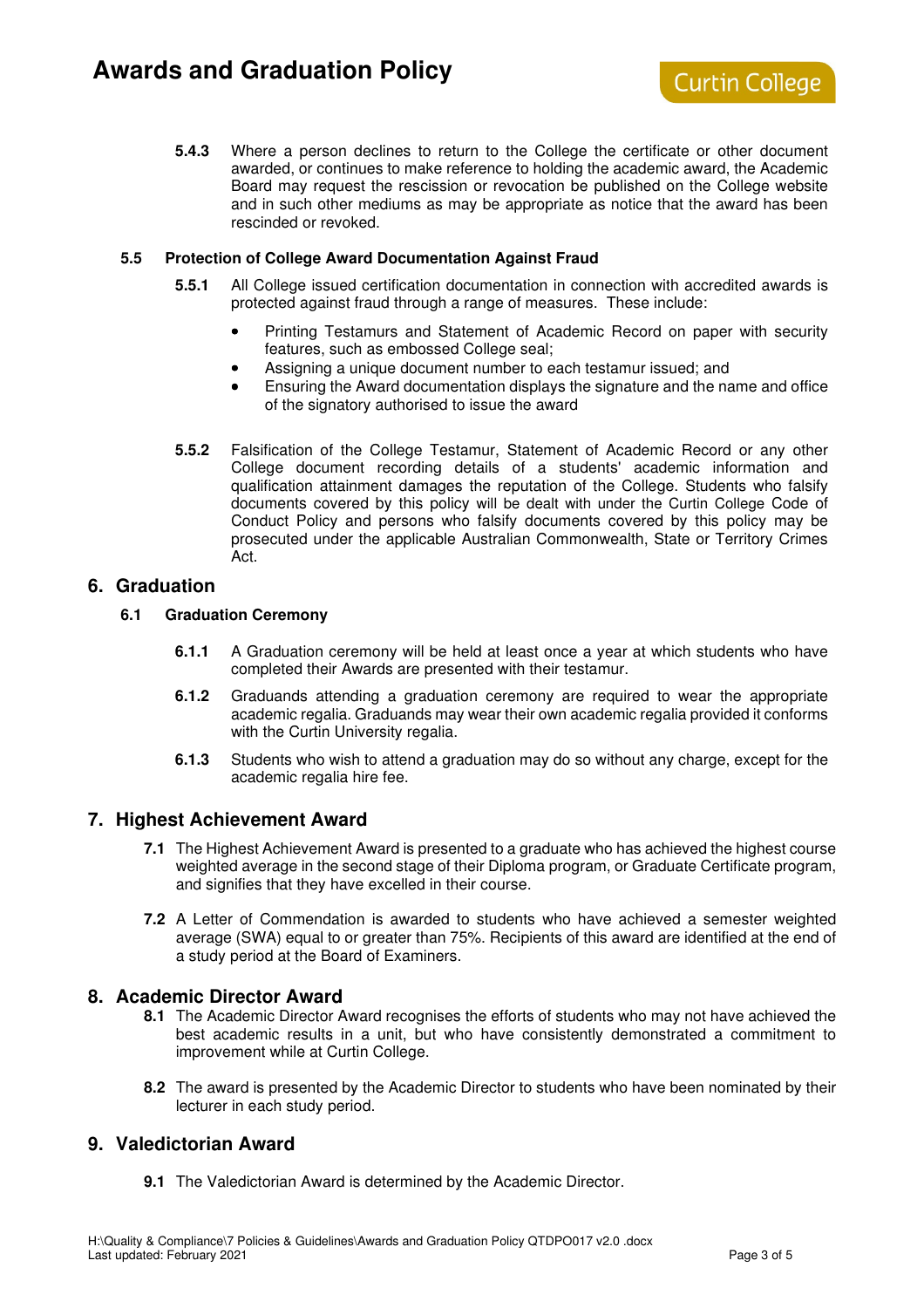**5.4.3** Where a person declines to return to the College the certificate or other document awarded, or continues to make reference to holding the academic award, the Academic Board may request the rescission or revocation be published on the College website and in such other mediums as may be appropriate as notice that the award has been rescinded or revoked.

### **5.5 Protection of College Award Documentation Against Fraud**

- **5.5.1** All College issued certification documentation in connection with accredited awards is protected against fraud through a range of measures. These include:
	- Printing Testamurs and Statement of Academic Record on paper with security features, such as embossed College seal;
	- Assigning a unique document number to each testamur issued; and
	- Ensuring the Award documentation displays the signature and the name and office of the signatory authorised to issue the award
- **5.5.2** Falsification of the College Testamur, Statement of Academic Record or any other College document recording details of a students' academic information and qualification attainment damages the reputation of the College. Students who falsify documents covered by this policy will be dealt with under the Curtin College Code of Conduct Policy and persons who falsify documents covered by this policy may be prosecuted under the applicable Australian Commonwealth, State or Territory Crimes Act.

## **6. Graduation**

### **6.1 Graduation Ceremony**

- **6.1.1** A Graduation ceremony will be held at least once a year at which students who have completed their Awards are presented with their testamur.
- **6.1.2** Graduands attending a graduation ceremony are required to wear the appropriate academic regalia. Graduands may wear their own academic regalia provided it conforms with the Curtin University regalia.
- **6.1.3** Students who wish to attend a graduation may do so without any charge, except for the academic regalia hire fee.

## **7. Highest Achievement Award**

- **7.1** The Highest Achievement Award is presented to a graduate who has achieved the highest course weighted average in the second stage of their Diploma program, or Graduate Certificate program, and signifies that they have excelled in their course.
- **7.2** A Letter of Commendation is awarded to students who have achieved a semester weighted average (SWA) equal to or greater than 75%. Recipients of this award are identified at the end of a study period at the Board of Examiners.

## **8. Academic Director Award**

- **8.1** The Academic Director Award recognises the efforts of students who may not have achieved the best academic results in a unit, but who have consistently demonstrated a commitment to improvement while at Curtin College.
- **8.2** The award is presented by the Academic Director to students who have been nominated by their lecturer in each study period.

# **9. Valedictorian Award**

**9.1** The Valedictorian Award is determined by the Academic Director.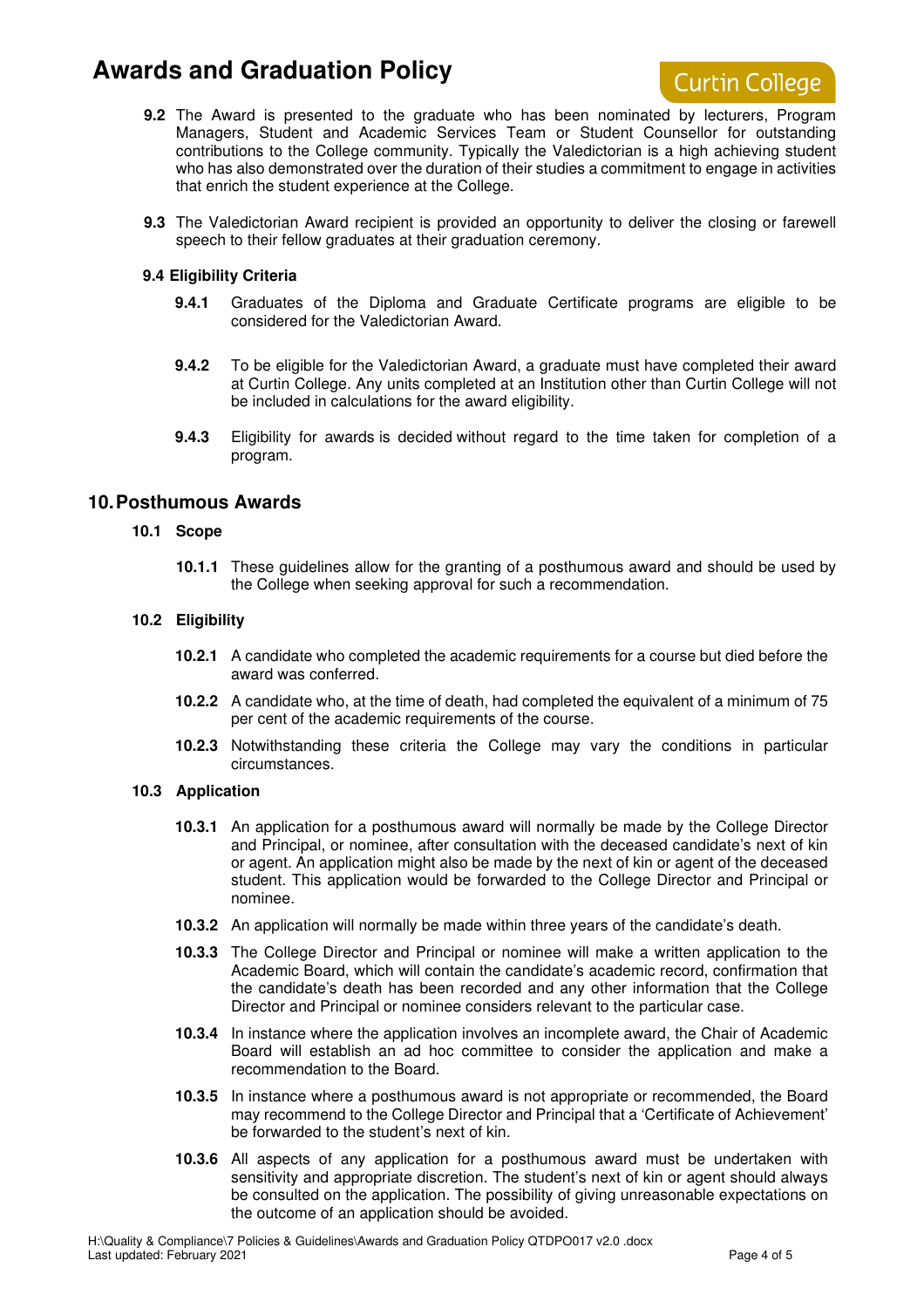# **Awards and Graduation Policy**



- **9.2** The Award is presented to the graduate who has been nominated by lecturers, Program Managers, Student and Academic Services Team or Student Counsellor for outstanding contributions to the College community. Typically the Valedictorian is a high achieving student who has also demonstrated over the duration of their studies a commitment to engage in activities that enrich the student experience at the College.
- **9.3** The Valedictorian Award recipient is provided an opportunity to deliver the closing or farewell speech to their fellow graduates at their graduation ceremony.

#### **9.4 Eligibility Criteria**

- **9.4.1** Graduates of the Diploma and Graduate Certificate programs are eligible to be considered for the Valedictorian Award.
- **9.4.2** To be eligible for the Valedictorian Award, a graduate must have completed their award at Curtin College. Any units completed at an Institution other than Curtin College will not be included in calculations for the award eligibility.
- **9.4.3** Eligibility for awards is decided without regard to the time taken for completion of a program.

# **10. Posthumous Awards**

#### **10.1 Scope**

**10.1.1** These guidelines allow for the granting of a posthumous award and should be used by the College when seeking approval for such a recommendation.

#### **10.2 Eligibility**

- **10.2.1** A candidate who completed the academic requirements for a course but died before the award was conferred.
- **10.2.2** A candidate who, at the time of death, had completed the equivalent of a minimum of 75 per cent of the academic requirements of the course.
- **10.2.3** Notwithstanding these criteria the College may vary the conditions in particular circumstances.

#### **10.3 Application**

- **10.3.1** An application for a posthumous award will normally be made by the College Director and Principal, or nominee, after consultation with the deceased candidate's next of kin or agent. An application might also be made by the next of kin or agent of the deceased student. This application would be forwarded to the College Director and Principal or nominee.
- **10.3.2** An application will normally be made within three years of the candidate's death.
- **10.3.3** The College Director and Principal or nominee will make a written application to the Academic Board, which will contain the candidate's academic record, confirmation that the candidate's death has been recorded and any other information that the College Director and Principal or nominee considers relevant to the particular case.
- **10.3.4** In instance where the application involves an incomplete award, the Chair of Academic Board will establish an ad hoc committee to consider the application and make a recommendation to the Board.
- **10.3.5** In instance where a posthumous award is not appropriate or recommended, the Board may recommend to the College Director and Principal that a 'Certificate of Achievement' be forwarded to the student's next of kin.
- **10.3.6** All aspects of any application for a posthumous award must be undertaken with sensitivity and appropriate discretion. The student's next of kin or agent should always be consulted on the application. The possibility of giving unreasonable expectations on the outcome of an application should be avoided.